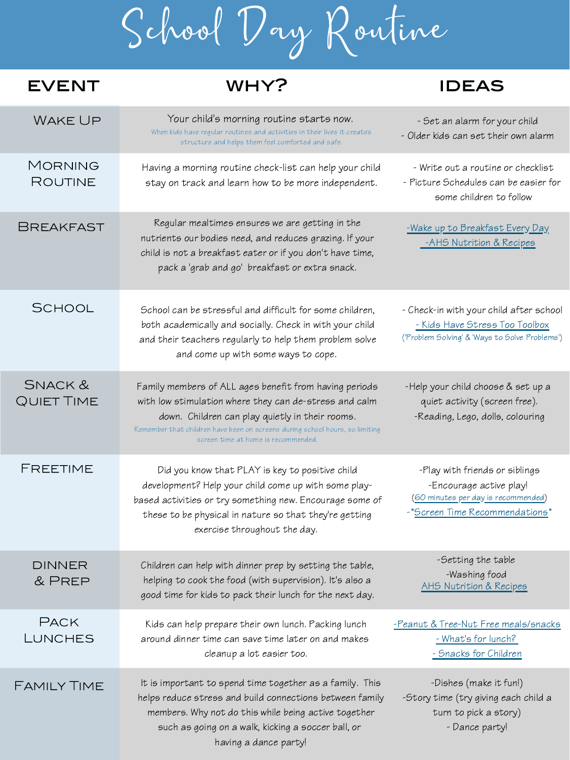School Day Routine

## **EVENT**

## WHY? IDEAS

| WAKE UP                       | Your child's morning routine starts now.<br>When kids have regular routines and activities in their lives it creates<br>structure and helps them feel comforted and safe.                                                                                                                  | - Set an alarm for your child<br>- Older kids can set their own alarm                                                                     |
|-------------------------------|--------------------------------------------------------------------------------------------------------------------------------------------------------------------------------------------------------------------------------------------------------------------------------------------|-------------------------------------------------------------------------------------------------------------------------------------------|
| MORNING<br>ROUTINE            | Having a morning routine check-list can help your child<br>stay on track and learn how to be more independent.                                                                                                                                                                             | - Write out a routine or checklist<br>- Picture Schedules can be easier for<br>some children to follow                                    |
| <b>BREAKFAST</b>              | Regular mealtimes ensures we are getting in the<br>nutrients our bodies need, and reduces grazing. If your<br>child is not a breakfast eater or if you don't have time,<br>pack a 'grab and go' breakfast or extra snack.                                                                  | -Wake up to Breakfast Every Day<br>-AHS Nutrition & Recipes                                                                               |
| <b>SCHOOL</b>                 | School can be stressful and difficult for some children,<br>both academically and socially. Check in with your child<br>and their teachers regularly to help them problem solve<br>and come up with some ways to cope.                                                                     | - Check-in with your child after school<br>- Kids Have Stress Too Toolbox<br>('Problem Solving' & 'Ways to Solve Problems')               |
| SNACK &<br>QUIET TIME         | Family members of ALL ages benefit from having periods<br>with low stimulation where they can de-stress and calm<br>down. Children can play quietly in their rooms.<br>Remember that children have been on screens during school hours, so limiting<br>screen time at home is recommended. | -Help your child choose & set up a<br>quiet activity (screen free).<br>-Reading, Lego, dolls, colouring                                   |
| FREETIME                      | Did you know that PLAY is key to positive child<br>development? Help your child come up with some play-<br>based activities or try something new. Encourage some of<br>these to be physical in nature so that they're getting<br>exercise throughout the day.                              | -Play with friends or siblings<br>-Encourage active play!<br><u>(60 minutes per day is recommended)</u><br>-*Screen Time Recommendations* |
| <b>DINNER</b><br>& PREP       | Children can help with dinner prep by setting the table,<br>helping to cook the food (with supervision). It's also a<br>good time for kids to pack their lunch for the next day.                                                                                                           | -Setting the table<br>-Washing food<br>AHS Nutrition & Recipes                                                                            |
| <b>PACK</b><br><b>LUNCHES</b> | Kids can help prepare their own lunch. Packing lunch<br>around dinner time can save time later on and makes<br>cleanup a lot easier too.                                                                                                                                                   | -Peanut & Tree-Nut Free meals/snacks<br>- What's for lunch?<br>- Snacks for Children                                                      |
| FAMILY TIME                   | It is important to spend time together as a family. This<br>helps reduce stress and build connections between family<br>members. Why not do this while being active together<br>such as going on a walk, kicking a soccer ball, or<br>having a dance party!                                | -Dishes (make it fun!)<br>-Story time (try giving each child a<br>turn to pick a story)<br>- Dance party!                                 |